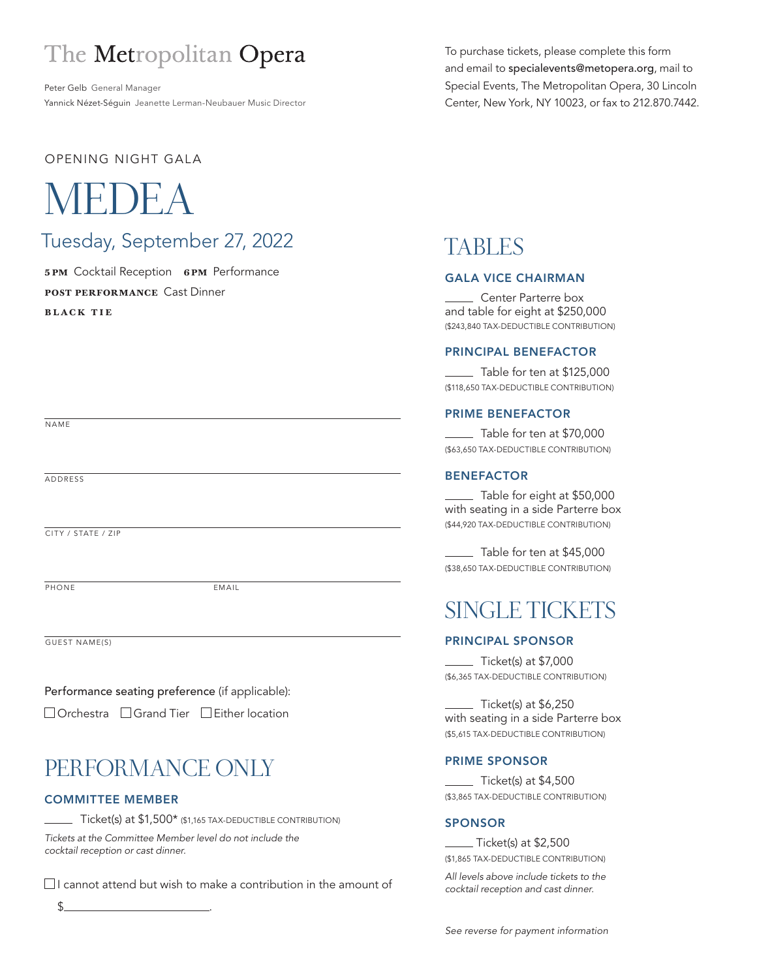# The Metropolitan Opera

Peter Gelb General Manager Yannick Nézet-Séguin Jeanette Lerman-Neubauer Music Director To purchase tickets, please complete this form and email to specialevents@metopera.org, mail to Special Events, The Metropolitan Opera, 30 Lincoln Center, New York, NY 10023, or fax to 212.870.7442.

#### OPENING NIGHT GALA

# MEDE

## Tuesday, September 27, 2022

**5pm** Cocktail Reception **6pm** Performance **POST PERFORMANCE** Cast Dinner **bl ack tie**

## TABLES

#### GALA VICE CHAIRMAN

Center Parterre box and table for eight at \$250,000 (\$243,840 TAX-DEDUCTIBLE CONTRIBUTION)

#### PRINCIPAL BENEFACTOR

 $\_$  Table for ten at \$125,000 (\$118,650 TAX-DEDUCTIBLE CONTRIBUTION)

#### PRIME BENEFACTOR

Table for ten at \$70,000 (\$63,650 TAX-DEDUCTIBLE CONTRIBUTION)

#### BENEFACTOR

Table for eight at \$50,000 with seating in a side Parterre box (\$44,920 TAX-DEDUCTIBLE CONTRIBUTION)

Table for ten at \$45,000 (\$38,650 TAX-DEDUCTIBLE CONTRIBUTION)

## SINGLE TICKETS

#### PRINCIPAL SPONSOR

Ticket(s) at \$7,000 (\$6,365 TAX-DEDUCTIBLE CONTRIBUTION)

Ticket(s) at \$6,250 with seating in a side Parterre box (\$5,615 TAX-DEDUCTIBLE CONTRIBUTION)

#### PRIME SPONSOR

 $\_$  Ticket(s) at \$4,500 (\$3,865 TAX-DEDUCTIBLE CONTRIBUTION)

#### SPONSOR

 Ticket(s) at \$2,500 (\$1,865 TAX-DEDUCTIBLE CONTRIBUTION)

All levels above include tickets to the cocktail reception and cast dinner.

## PERFORMANCE ONLY

Performance seating preference (if applicable): □ Orchestra □ Grand Tier □ Either location

PHONE EMAIL

#### COMMITTEE MEMBER

 $\perp$  Ticket(s) at \$1,500\* (\$1,165 TAX-DEDUCTIBLE CONTRIBUTION)

Tickets at the Committee Member level do not include the cocktail reception or cast dinner.

 $\Box$  I cannot attend but wish to make a contribution in the amount of

 $$$  .

NAME

ADDRESS

CITY / STATE / ZIP

GUEST NAME(S)